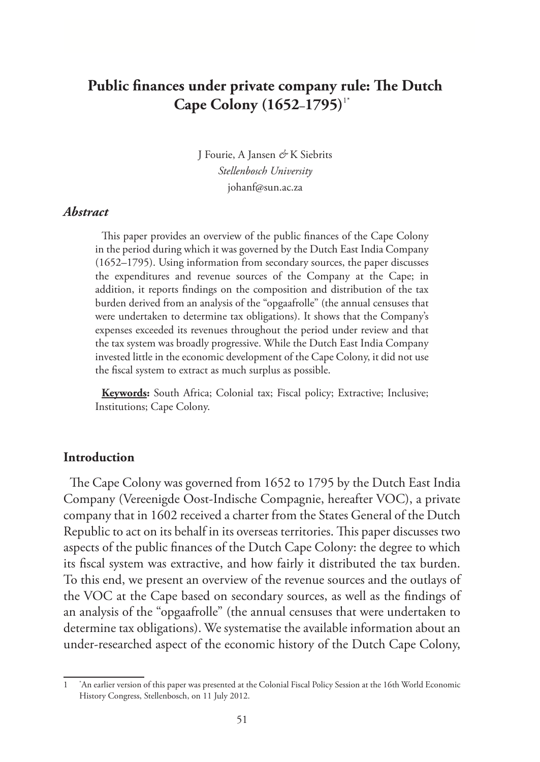# **Public finances under private company rule: The Dutch Cape Colony (1652–1795)**1\*

J Fourie, A Jansen *&* K Siebrits *Stellenbosch University* johanf@sun.ac.za

#### *Abstract*

This paper provides an overview of the public finances of the Cape Colony in the period during which it was governed by the Dutch East India Company (1652–1795). Using information from secondary sources, the paper discusses the expenditures and revenue sources of the Company at the Cape; in addition, it reports findings on the composition and distribution of the tax burden derived from an analysis of the "opgaafrolle" (the annual censuses that were undertaken to determine tax obligations). It shows that the Company's expenses exceeded its revenues throughout the period under review and that the tax system was broadly progressive. While the Dutch East India Company invested little in the economic development of the Cape Colony, it did not use the fiscal system to extract as much surplus as possible.

**Keywords:** South Africa; Colonial tax; Fiscal policy; Extractive; Inclusive; Institutions; Cape Colony.

#### **Introduction**

The Cape Colony was governed from 1652 to 1795 by the Dutch East India Company (Vereenigde Oost-Indische Compagnie, hereafter VOC), a private company that in 1602 received a charter from the States General of the Dutch Republic to act on its behalf in its overseas territories. This paper discusses two aspects of the public finances of the Dutch Cape Colony: the degree to which its fiscal system was extractive, and how fairly it distributed the tax burden. To this end, we present an overview of the revenue sources and the outlays of the VOC at the Cape based on secondary sources, as well as the findings of an analysis of the "opgaafrolle" (the annual censuses that were undertaken to determine tax obligations). We systematise the available information about an under-researched aspect of the economic history of the Dutch Cape Colony,

<sup>1</sup> \* An earlier version of this paper was presented at the Colonial Fiscal Policy Session at the 16th World Economic History Congress, Stellenbosch, on 11 July 2012.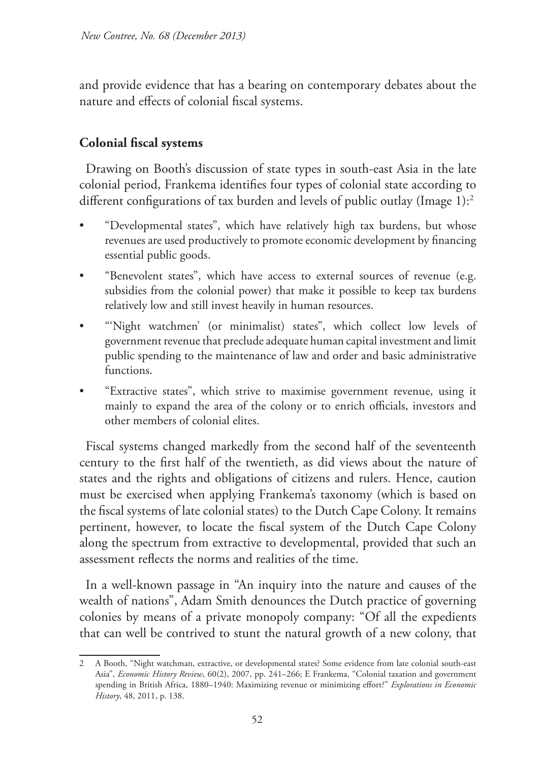and provide evidence that has a bearing on contemporary debates about the nature and effects of colonial fiscal systems.

# **Colonial fiscal systems**

Drawing on Booth's discussion of state types in south-east Asia in the late colonial period, Frankema identifies four types of colonial state according to different configurations of tax burden and levels of public outlay (Image 1):<sup>2</sup>

- "Developmental states", which have relatively high tax burdens, but whose revenues are used productively to promote economic development by financing essential public goods.
- "Benevolent states", which have access to external sources of revenue (e.g. subsidies from the colonial power) that make it possible to keep tax burdens relatively low and still invest heavily in human resources.
- "'Night watchmen' (or minimalist) states", which collect low levels of government revenue that preclude adequate human capital investment and limit public spending to the maintenance of law and order and basic administrative functions.
- "Extractive states", which strive to maximise government revenue, using it mainly to expand the area of the colony or to enrich officials, investors and other members of colonial elites.

Fiscal systems changed markedly from the second half of the seventeenth century to the first half of the twentieth, as did views about the nature of states and the rights and obligations of citizens and rulers. Hence, caution must be exercised when applying Frankema's taxonomy (which is based on the fiscal systems of late colonial states) to the Dutch Cape Colony. It remains pertinent, however, to locate the fiscal system of the Dutch Cape Colony along the spectrum from extractive to developmental, provided that such an assessment reflects the norms and realities of the time.

In a well-known passage in "An inquiry into the nature and causes of the wealth of nations", Adam Smith denounces the Dutch practice of governing colonies by means of a private monopoly company: "Of all the expedients that can well be contrived to stunt the natural growth of a new colony, that

<sup>2</sup> A Booth, "Night watchman, extractive, or developmental states? Some evidence from late colonial south-east Asia", *Economic History Review*, 60(2), 2007, pp. 241–266; E Frankema, "Colonial taxation and government spending in British Africa, 1880–1940: Maximizing revenue or minimizing effort?" *Explorations in Economic History*, 48, 2011, p. 138.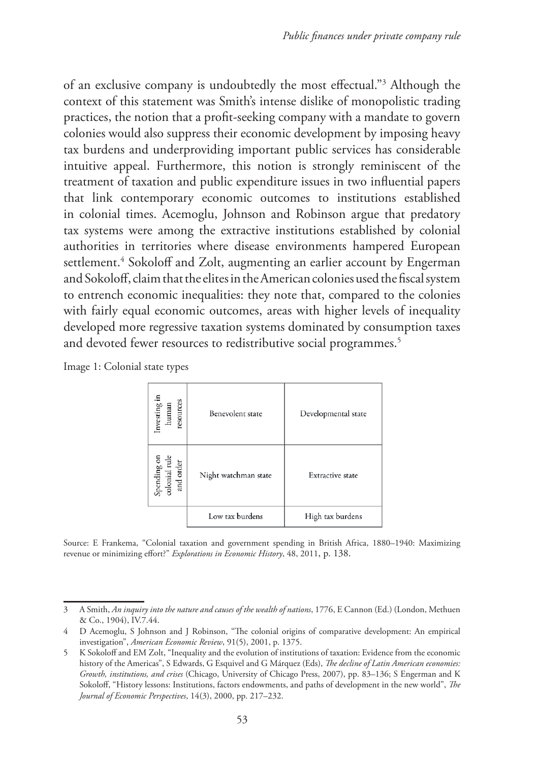of an exclusive company is undoubtedly the most effectual."3 Although the context of this statement was Smith's intense dislike of monopolistic trading practices, the notion that a profit-seeking company with a mandate to govern colonies would also suppress their economic development by imposing heavy tax burdens and underproviding important public services has considerable intuitive appeal. Furthermore, this notion is strongly reminiscent of the treatment of taxation and public expenditure issues in two influential papers that link contemporary economic outcomes to institutions established in colonial times. Acemoglu, Johnson and Robinson argue that predatory tax systems were among the extractive institutions established by colonial authorities in territories where disease environments hampered European settlement.4 Sokoloff and Zolt, augmenting an earlier account by Engerman and Sokoloff, claim that the elites in the American colonies used the fiscal system to entrench economic inequalities: they note that, compared to the colonies with fairly equal economic outcomes, areas with higher levels of inequality developed more regressive taxation systems dominated by consumption taxes and devoted fewer resources to redistributive social programmes.<sup>5</sup>

| Image 1: Colonial state types |  |  |  |  |
|-------------------------------|--|--|--|--|
|-------------------------------|--|--|--|--|

| Investing in<br>human<br>resources        | Benevolent state     | Developmental state |
|-------------------------------------------|----------------------|---------------------|
| Spending on<br>colonial rule<br>and order | Night watchman state | Extractive state    |
|                                           | Low tax burdens      | High tax burdens    |

Source: E Frankema, "Colonial taxation and government spending in British Africa, 1880–1940: Maximizing revenue or minimizing effort?" *Explorations in Economic History*, 48, 2011, p. 138.

<sup>3</sup> A Smith, *An inquiry into the nature and causes of the wealth of nations*, 1776, E Cannon (Ed.) (London, Methuen & Co., 1904), IV.7.44.

<sup>4</sup> D Acemoglu, S Johnson and J Robinson, "The colonial origins of comparative development: An empirical investigation", *American Economic Review*, 91(5), 2001, p. 1375.

<sup>5</sup> K Sokoloff and EM Zolt, "Inequality and the evolution of institutions of taxation: Evidence from the economic history of the Americas", S Edwards, G Esquivel and G Márquez (Eds), *The decline of Latin American economies: Growth, institutions, and crises* (Chicago, University of Chicago Press, 2007), pp. 83–136; S Engerman and K Sokoloff, "History lessons: Institutions, factors endowments, and paths of development in the new world", *The Journal of Economic Perspectives*, 14(3), 2000, pp. 217–232.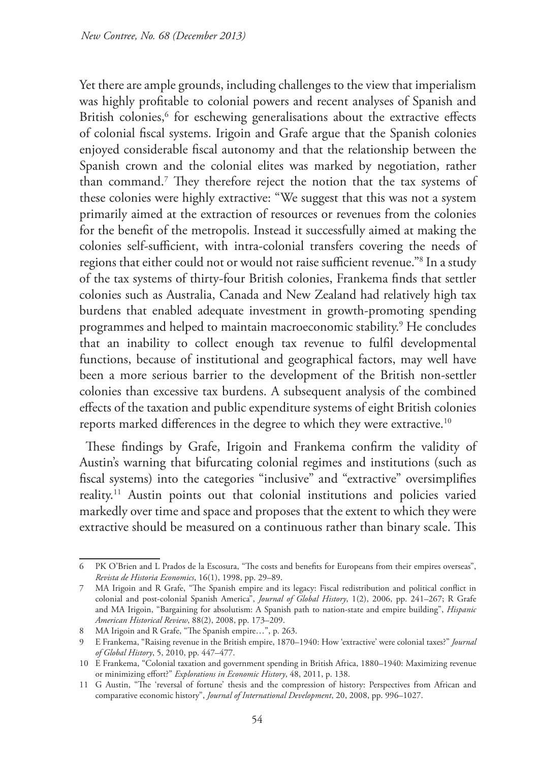Yet there are ample grounds, including challenges to the view that imperialism was highly profitable to colonial powers and recent analyses of Spanish and British colonies,<sup>6</sup> for eschewing generalisations about the extractive effects of colonial fiscal systems. Irigoin and Grafe argue that the Spanish colonies enjoyed considerable fiscal autonomy and that the relationship between the Spanish crown and the colonial elites was marked by negotiation, rather than command.7 They therefore reject the notion that the tax systems of these colonies were highly extractive: "We suggest that this was not a system primarily aimed at the extraction of resources or revenues from the colonies for the benefit of the metropolis. Instead it successfully aimed at making the colonies self-sufficient, with intra-colonial transfers covering the needs of regions that either could not or would not raise sufficient revenue."8 In a study of the tax systems of thirty-four British colonies, Frankema finds that settler colonies such as Australia, Canada and New Zealand had relatively high tax burdens that enabled adequate investment in growth-promoting spending programmes and helped to maintain macroeconomic stability.9 He concludes that an inability to collect enough tax revenue to fulfil developmental functions, because of institutional and geographical factors, may well have been a more serious barrier to the development of the British non-settler colonies than excessive tax burdens. A subsequent analysis of the combined effects of the taxation and public expenditure systems of eight British colonies reports marked differences in the degree to which they were extractive.<sup>10</sup>

These findings by Grafe, Irigoin and Frankema confirm the validity of Austin's warning that bifurcating colonial regimes and institutions (such as fiscal systems) into the categories "inclusive" and "extractive" oversimplifies reality.11 Austin points out that colonial institutions and policies varied markedly over time and space and proposes that the extent to which they were extractive should be measured on a continuous rather than binary scale. This

<sup>6</sup> PK O'Brien and L Prados de la Escosura, "The costs and benefits for Europeans from their empires overseas", *Revista de Historia Economics*, 16(1), 1998, pp. 29–89.

<sup>7</sup> MA Irigoin and R Grafe, "The Spanish empire and its legacy: Fiscal redistribution and political conflict in colonial and post-colonial Spanish America", *Journal of Global History*, 1(2), 2006, pp. 241–267; R Grafe and MA Irigoin, "Bargaining for absolutism: A Spanish path to nation-state and empire building", *Hispanic American Historical Review*, 88(2), 2008, pp. 173–209.

<sup>8</sup> MA Irigoin and R Grafe, "The Spanish empire...", p. 263.

<sup>9</sup> E Frankema, "Raising revenue in the British empire, 1870–1940: How 'extractive' were colonial taxes?" *Journal of Global History*, 5, 2010, pp. 447–477.

<sup>10</sup> E Frankema, "Colonial taxation and government spending in British Africa, 1880–1940: Maximizing revenue or minimizing effort?" *Explorations in Economic History*, 48, 2011, p. 138.

<sup>11</sup> G Austin, "The 'reversal of fortune' thesis and the compression of history: Perspectives from African and comparative economic history", *Journal of International Development*, 20, 2008, pp. 996–1027.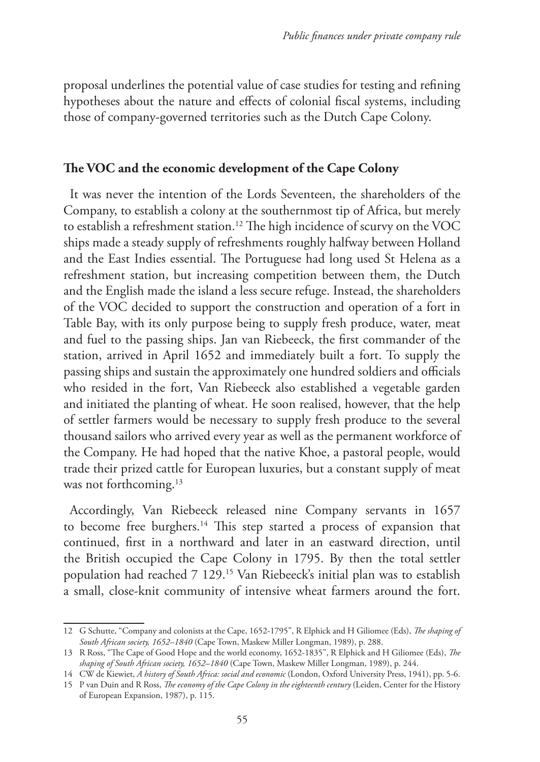proposal underlines the potential value of case studies for testing and refining hypotheses about the nature and effects of colonial fiscal systems, including those of company-governed territories such as the Dutch Cape Colony.

#### **The VOC and the economic development of the Cape Colony**

It was never the intention of the Lords Seventeen, the shareholders of the Company, to establish a colony at the southernmost tip of Africa, but merely to establish a refreshment station.12 The high incidence of scurvy on the VOC ships made a steady supply of refreshments roughly halfway between Holland and the East Indies essential. The Portuguese had long used St Helena as a refreshment station, but increasing competition between them, the Dutch and the English made the island a less secure refuge. Instead, the shareholders of the VOC decided to support the construction and operation of a fort in Table Bay, with its only purpose being to supply fresh produce, water, meat and fuel to the passing ships. Jan van Riebeeck, the first commander of the station, arrived in April 1652 and immediately built a fort. To supply the passing ships and sustain the approximately one hundred soldiers and officials who resided in the fort, Van Riebeeck also established a vegetable garden and initiated the planting of wheat. He soon realised, however, that the help of settler farmers would be necessary to supply fresh produce to the several thousand sailors who arrived every year as well as the permanent workforce of the Company. He had hoped that the native Khoe, a pastoral people, would trade their prized cattle for European luxuries, but a constant supply of meat was not forthcoming.<sup>13</sup>

Accordingly, Van Riebeeck released nine Company servants in 1657 to become free burghers.14 This step started a process of expansion that continued, first in a northward and later in an eastward direction, until the British occupied the Cape Colony in 1795. By then the total settler population had reached 7 129.15 Van Riebeeck's initial plan was to establish a small, close-knit community of intensive wheat farmers around the fort.

<sup>12</sup> G Schutte, "Company and colonists at the Cape, 1652-1795", R Elphick and H Giliomee (Eds), *The shaping of South African society, 1652–1840* (Cape Town, Maskew Miller Longman, 1989), p. 288.

<sup>13</sup> R Ross, "The Cape of Good Hope and the world economy, 1652-1835", R Elphick and H Giliomee (Eds), *The shaping of South African society, 1652–1840* (Cape Town, Maskew Miller Longman, 1989), p. 244.

<sup>14</sup> CW de Kiewiet, *A history of South Africa: social and economic* (London, Oxford University Press, 1941), pp. 5-6.

<sup>15</sup> P van Duin and R Ross, *The economy of the Cape Colony in the eighteenth century* (Leiden, Center for the History of European Expansion, 1987), p. 115.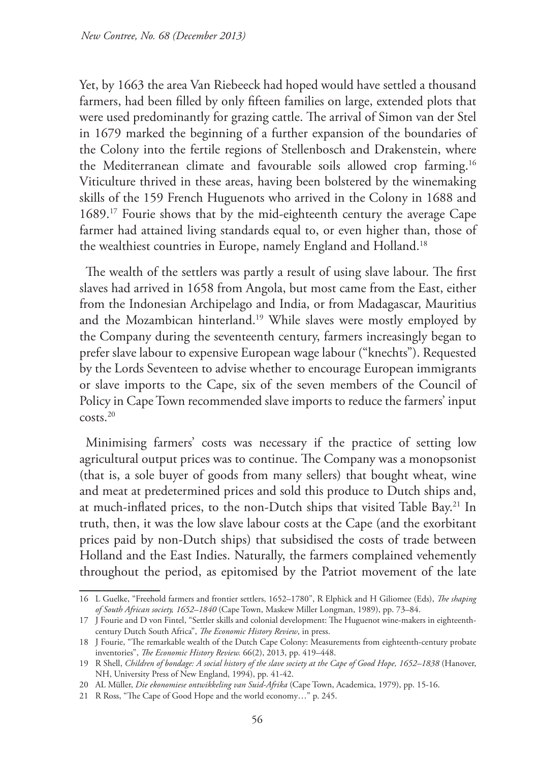Yet, by 1663 the area Van Riebeeck had hoped would have settled a thousand farmers, had been filled by only fifteen families on large, extended plots that were used predominantly for grazing cattle. The arrival of Simon van der Stel in 1679 marked the beginning of a further expansion of the boundaries of the Colony into the fertile regions of Stellenbosch and Drakenstein, where the Mediterranean climate and favourable soils allowed crop farming.16 Viticulture thrived in these areas, having been bolstered by the winemaking skills of the 159 French Huguenots who arrived in the Colony in 1688 and 1689.17 Fourie shows that by the mid-eighteenth century the average Cape farmer had attained living standards equal to, or even higher than, those of the wealthiest countries in Europe, namely England and Holland.18

The wealth of the settlers was partly a result of using slave labour. The first slaves had arrived in 1658 from Angola, but most came from the East, either from the Indonesian Archipelago and India, or from Madagascar, Mauritius and the Mozambican hinterland.19 While slaves were mostly employed by the Company during the seventeenth century, farmers increasingly began to prefer slave labour to expensive European wage labour ("knechts"). Requested by the Lords Seventeen to advise whether to encourage European immigrants or slave imports to the Cape, six of the seven members of the Council of Policy in Cape Town recommended slave imports to reduce the farmers' input costs.20

Minimising farmers' costs was necessary if the practice of setting low agricultural output prices was to continue. The Company was a monopsonist (that is, a sole buyer of goods from many sellers) that bought wheat, wine and meat at predetermined prices and sold this produce to Dutch ships and, at much-inflated prices, to the non-Dutch ships that visited Table Bay.<sup>21</sup> In truth, then, it was the low slave labour costs at the Cape (and the exorbitant prices paid by non-Dutch ships) that subsidised the costs of trade between Holland and the East Indies. Naturally, the farmers complained vehemently throughout the period, as epitomised by the Patriot movement of the late

<sup>16</sup> L Guelke, "Freehold farmers and frontier settlers, 1652–1780", R Elphick and H Giliomee (Eds), *The shaping of South African society, 1652–1840* (Cape Town, Maskew Miller Longman, 1989), pp. 73–84.

<sup>17</sup> J Fourie and D von Fintel, "Settler skills and colonial development: The Huguenot wine-makers in eighteenthcentury Dutch South Africa", *The Economic History Review*, in press.

<sup>18</sup> J Fourie, "The remarkable wealth of the Dutch Cape Colony: Measurements from eighteenth-century probate inventories", *The Economic History Review.* 66(2), 2013, pp. 419–448.

<sup>19</sup> R Shell, *Children of bondage: A social history of the slave society at the Cape of Good Hope, 1652–1838* (Hanover, NH, University Press of New England, 1994), pp. 41-42.

<sup>20</sup> AL Müller, *Die ekonomiese ontwikkeling van Suid-Afrika* (Cape Town, Academica, 1979), pp. 15-16.

<sup>21</sup> R Ross, "The Cape of Good Hope and the world economy…" p. 245.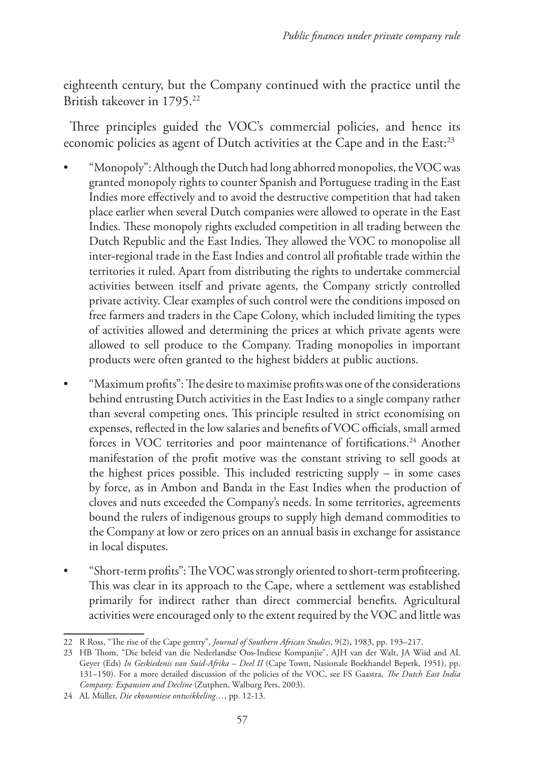eighteenth century, but the Company continued with the practice until the British takeover in 1795.22

Three principles guided the VOC's commercial policies, and hence its economic policies as agent of Dutch activities at the Cape and in the East:<sup>23</sup>

- "Monopoly": Although the Dutch had long abhorred monopolies, the VOC was granted monopoly rights to counter Spanish and Portuguese trading in the East Indies more effectively and to avoid the destructive competition that had taken place earlier when several Dutch companies were allowed to operate in the East Indies. These monopoly rights excluded competition in all trading between the Dutch Republic and the East Indies. They allowed the VOC to monopolise all inter-regional trade in the East Indies and control all profitable trade within the territories it ruled. Apart from distributing the rights to undertake commercial activities between itself and private agents, the Company strictly controlled private activity. Clear examples of such control were the conditions imposed on free farmers and traders in the Cape Colony, which included limiting the types of activities allowed and determining the prices at which private agents were allowed to sell produce to the Company. Trading monopolies in important products were often granted to the highest bidders at public auctions.
- "Maximum profits": The desire to maximise profits was one of the considerations behind entrusting Dutch activities in the East Indies to a single company rather than several competing ones. This principle resulted in strict economising on expenses, reflected in the low salaries and benefits of VOC officials, small armed forces in VOC territories and poor maintenance of fortifications.<sup>24</sup> Another manifestation of the profit motive was the constant striving to sell goods at the highest prices possible. This included restricting supply – in some cases by force, as in Ambon and Banda in the East Indies when the production of cloves and nuts exceeded the Company's needs. In some territories, agreements bound the rulers of indigenous groups to supply high demand commodities to the Company at low or zero prices on an annual basis in exchange for assistance in local disputes.
- "Short-term profits":The VOC was strongly oriented to short-term profiteering. This was clear in its approach to the Cape, where a settlement was established primarily for indirect rather than direct commercial benefits. Agricultural activities were encouraged only to the extent required by the VOC and little was

<sup>22</sup> R Ross, "The rise of the Cape gentry", *Journal of Southern African Studies*, 9(2), 1983, pp. 193–217.

<sup>23</sup> HB Thom, "Die beleid van die Nederlandse Oos-Indiese Kompanjie", AJH van der Walt, JA Wiid and AL Geyer (Eds) *In Geskiedenis van Suid-Afrika – Deel II* (Cape Town, Nasionale Boekhandel Beperk, 1951), pp. 131–150). For a more detailed discussion of the policies of the VOC, see FS Gaastra, *The Dutch East India Company: Expansion and Decline* (Zutphen, Walburg Pers, 2003).

<sup>24</sup> AL Müller, *Die ekonomiese ontwikkeling…*, pp. 12-13.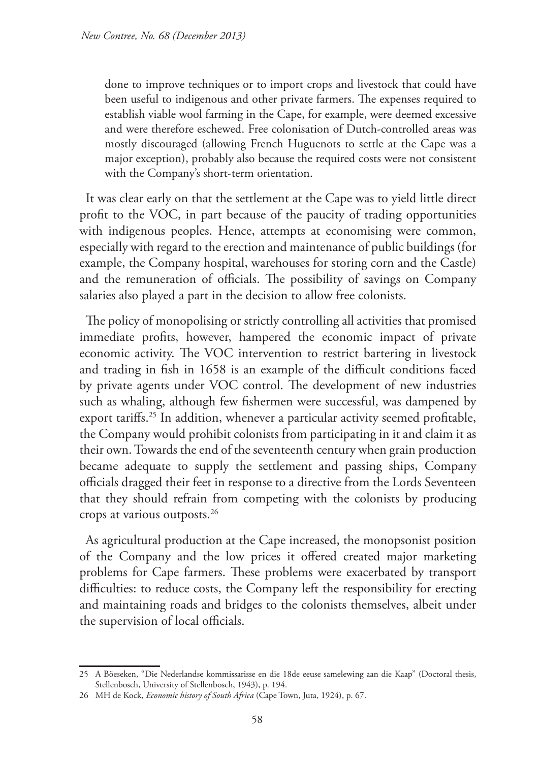done to improve techniques or to import crops and livestock that could have been useful to indigenous and other private farmers. The expenses required to establish viable wool farming in the Cape, for example, were deemed excessive and were therefore eschewed. Free colonisation of Dutch-controlled areas was mostly discouraged (allowing French Huguenots to settle at the Cape was a major exception), probably also because the required costs were not consistent with the Company's short-term orientation.

It was clear early on that the settlement at the Cape was to yield little direct profit to the VOC, in part because of the paucity of trading opportunities with indigenous peoples. Hence, attempts at economising were common, especially with regard to the erection and maintenance of public buildings (for example, the Company hospital, warehouses for storing corn and the Castle) and the remuneration of officials. The possibility of savings on Company salaries also played a part in the decision to allow free colonists.

The policy of monopolising or strictly controlling all activities that promised immediate profits, however, hampered the economic impact of private economic activity. The VOC intervention to restrict bartering in livestock and trading in fish in 1658 is an example of the difficult conditions faced by private agents under VOC control. The development of new industries such as whaling, although few fishermen were successful, was dampened by export tariffs.<sup>25</sup> In addition, whenever a particular activity seemed profitable, the Company would prohibit colonists from participating in it and claim it as their own. Towards the end of the seventeenth century when grain production became adequate to supply the settlement and passing ships, Company officials dragged their feet in response to a directive from the Lords Seventeen that they should refrain from competing with the colonists by producing crops at various outposts.26

As agricultural production at the Cape increased, the monopsonist position of the Company and the low prices it offered created major marketing problems for Cape farmers. These problems were exacerbated by transport difficulties: to reduce costs, the Company left the responsibility for erecting and maintaining roads and bridges to the colonists themselves, albeit under the supervision of local officials.

<sup>25</sup> A Böeseken, "Die Nederlandse kommissarisse en die 18de eeuse samelewing aan die Kaap" (Doctoral thesis, Stellenbosch, University of Stellenbosch, 1943), p. 194.

<sup>26</sup> MH de Kock, *Economic history of South Africa* (Cape Town, Juta, 1924), p. 67.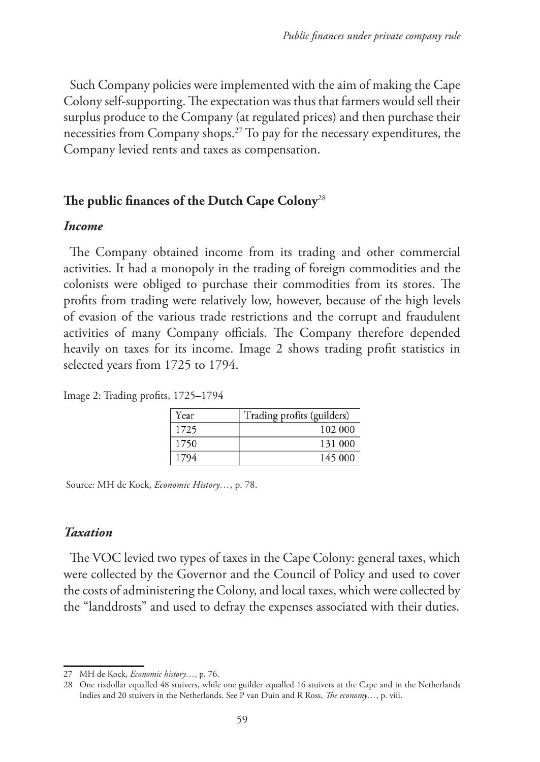Such Company policies were implemented with the aim of making the Cape Colony self-supporting. The expectation was thus that farmers would sell their surplus produce to the Company (at regulated prices) and then purchase their necessities from Company shops.27 To pay for the necessary expenditures, the Company levied rents and taxes as compensation.

### **The public finances of the Dutch Cape Colony**<sup>28</sup>

#### *Income*

The Company obtained income from its trading and other commercial activities. It had a monopoly in the trading of foreign commodities and the colonists were obliged to purchase their commodities from its stores. The profits from trading were relatively low, however, because of the high levels of evasion of the various trade restrictions and the corrupt and fraudulent activities of many Company officials. The Company therefore depended heavily on taxes for its income. Image 2 shows trading profit statistics in selected years from 1725 to 1794.

| Year | Trading profits (guilders) |
|------|----------------------------|
| 1725 | 102 000                    |
| 1750 | 131 000                    |
| 1794 | 145 000                    |

Image 2: Trading profits, 1725–1794

Source: MH de Kock, *Economic History…*, p. 78.

#### *Taxation*

The VOC levied two types of taxes in the Cape Colony: general taxes, which were collected by the Governor and the Council of Policy and used to cover the costs of administering the Colony, and local taxes, which were collected by the "landdrosts" and used to defray the expenses associated with their duties.

<sup>27</sup> MH de Kock, *Economic history…*, p. 76.

<sup>28</sup> One rixdollar equalled 48 stuivers, while one guilder equalled 16 stuivers at the Cape and in the Netherlands Indies and 20 stuivers in the Netherlands. See P van Duin and R Ross, *The economy…*, p. viii.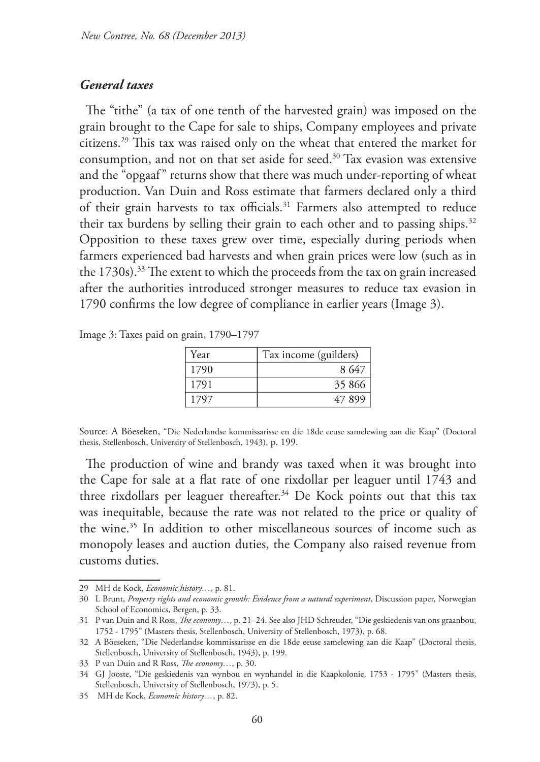### *General taxes*

The "tithe" (a tax of one tenth of the harvested grain) was imposed on the grain brought to the Cape for sale to ships, Company employees and private citizens.29 This tax was raised only on the wheat that entered the market for consumption, and not on that set aside for seed.<sup>30</sup> Tax evasion was extensive and the "opgaaf" returns show that there was much under-reporting of wheat production. Van Duin and Ross estimate that farmers declared only a third of their grain harvests to tax officials.<sup>31</sup> Farmers also attempted to reduce their tax burdens by selling their grain to each other and to passing ships.<sup>32</sup> Opposition to these taxes grew over time, especially during periods when farmers experienced bad harvests and when grain prices were low (such as in the 1730s).<sup>33</sup> The extent to which the proceeds from the tax on grain increased after the authorities introduced stronger measures to reduce tax evasion in 1790 confirms the low degree of compliance in earlier years (Image 3).

Image 3: Taxes paid on grain, 1790–1797

| Year | Tax income (guilders) |
|------|-----------------------|
| 1790 | 8647                  |
| 1791 | 35 866                |
| 1797 | 47899                 |

Source: A Böeseken, "Die Nederlandse kommissarisse en die 18de eeuse samelewing aan die Kaap" (Doctoral thesis, Stellenbosch, University of Stellenbosch, 1943), p. 199.

The production of wine and brandy was taxed when it was brought into the Cape for sale at a flat rate of one rixdollar per leaguer until 1743 and three rixdollars per leaguer thereafter.<sup>34</sup> De Kock points out that this tax was inequitable, because the rate was not related to the price or quality of the wine.35 In addition to other miscellaneous sources of income such as monopoly leases and auction duties, the Company also raised revenue from customs duties.

<sup>29</sup> MH de Kock, *Economic history…*, p. 81.

<sup>30</sup> L Brunt, *Property rights and economic growth: Evidence from a natural experiment*, Discussion paper, Norwegian School of Economics, Bergen, p. 33.

<sup>31</sup> P van Duin and R Ross, *The economy…*, p. 21–24. See also JHD Schreuder, "Die geskiedenis van ons graanbou, 1752 - 1795" (Masters thesis, Stellenbosch, University of Stellenbosch, 1973), p. 68.

<sup>32</sup> A Böeseken, "Die Nederlandse kommissarisse en die 18de eeuse samelewing aan die Kaap" (Doctoral thesis, Stellenbosch, University of Stellenbosch, 1943), p. 199.

<sup>33</sup> P van Duin and R Ross, *The economy…*, p. 30.

<sup>34</sup> GJ Jooste, "Die geskiedenis van wynbou en wynhandel in die Kaapkolonie, 1753 - 1795" (Masters thesis, Stellenbosch, University of Stellenbosch, 1973), p. 5.

<sup>35</sup> MH de Kock, *Economic history…*, p. 82.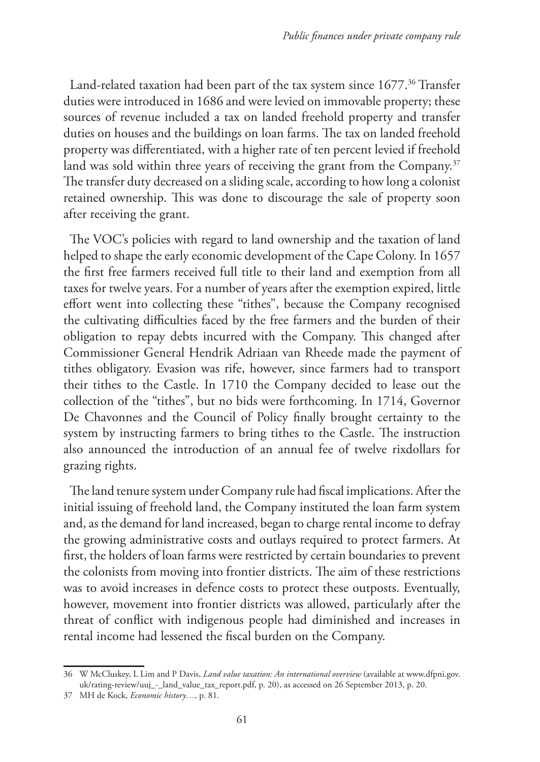Land-related taxation had been part of the tax system since 1677.<sup>36</sup> Transfer duties were introduced in 1686 and were levied on immovable property; these sources of revenue included a tax on landed freehold property and transfer duties on houses and the buildings on loan farms. The tax on landed freehold property was differentiated, with a higher rate of ten percent levied if freehold land was sold within three years of receiving the grant from the Company.<sup>37</sup> The transfer duty decreased on a sliding scale, according to how long a colonist retained ownership. This was done to discourage the sale of property soon after receiving the grant.

The VOC's policies with regard to land ownership and the taxation of land helped to shape the early economic development of the Cape Colony. In 1657 the first free farmers received full title to their land and exemption from all taxes for twelve years. For a number of years after the exemption expired, little effort went into collecting these "tithes", because the Company recognised the cultivating difficulties faced by the free farmers and the burden of their obligation to repay debts incurred with the Company. This changed after Commissioner General Hendrik Adriaan van Rheede made the payment of tithes obligatory. Evasion was rife, however, since farmers had to transport their tithes to the Castle. In 1710 the Company decided to lease out the collection of the "tithes", but no bids were forthcoming. In 1714, Governor De Chavonnes and the Council of Policy finally brought certainty to the system by instructing farmers to bring tithes to the Castle. The instruction also announced the introduction of an annual fee of twelve rixdollars for grazing rights.

The land tenure system under Company rule had fiscal implications. After the initial issuing of freehold land, the Company instituted the loan farm system and, as the demand for land increased, began to charge rental income to defray the growing administrative costs and outlays required to protect farmers. At first, the holders of loan farms were restricted by certain boundaries to prevent the colonists from moving into frontier districts. The aim of these restrictions was to avoid increases in defence costs to protect these outposts. Eventually, however, movement into frontier districts was allowed, particularly after the threat of conflict with indigenous people had diminished and increases in rental income had lessened the fiscal burden on the Company.

<sup>36</sup> W McCluskey, L Lim and P Davis, *Land value taxation: An international overview* (available at www.dfpni.gov. uk/rating-review/uuj\_-\_land\_value\_tax\_report.pdf, p. 20), as accessed on 26 September 2013, p. 20.

<sup>37</sup> MH de Kock, *Economic history…*, p. 81.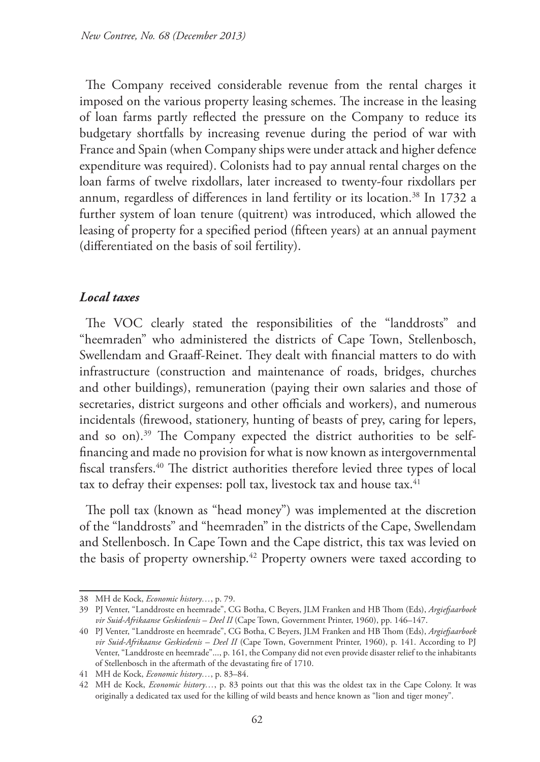The Company received considerable revenue from the rental charges it imposed on the various property leasing schemes. The increase in the leasing of loan farms partly reflected the pressure on the Company to reduce its budgetary shortfalls by increasing revenue during the period of war with France and Spain (when Company ships were under attack and higher defence expenditure was required). Colonists had to pay annual rental charges on the loan farms of twelve rixdollars, later increased to twenty-four rixdollars per annum, regardless of differences in land fertility or its location.<sup>38</sup> In 1732 a further system of loan tenure (quitrent) was introduced, which allowed the leasing of property for a specified period (fifteen years) at an annual payment (differentiated on the basis of soil fertility).

# *Local taxes*

The VOC clearly stated the responsibilities of the "landdrosts" and "heemraden" who administered the districts of Cape Town, Stellenbosch, Swellendam and Graaff-Reinet. They dealt with financial matters to do with infrastructure (construction and maintenance of roads, bridges, churches and other buildings), remuneration (paying their own salaries and those of secretaries, district surgeons and other officials and workers), and numerous incidentals (firewood, stationery, hunting of beasts of prey, caring for lepers, and so on).<sup>39</sup> The Company expected the district authorities to be selffinancing and made no provision for what is now known as intergovernmental fiscal transfers.40 The district authorities therefore levied three types of local tax to defray their expenses: poll tax, livestock tax and house tax. $41$ 

The poll tax (known as "head money") was implemented at the discretion of the "landdrosts" and "heemraden" in the districts of the Cape, Swellendam and Stellenbosch. In Cape Town and the Cape district, this tax was levied on the basis of property ownership.<sup>42</sup> Property owners were taxed according to

<sup>38</sup> MH de Kock, *Economic history…*, p. 79.

<sup>39</sup> PJ Venter, "Landdroste en heemrade", CG Botha, C Beyers, JLM Franken and HB Thom (Eds), *Argiefjaarboek vir Suid-Afrikaanse Geskiedenis – Deel II* (Cape Town, Government Printer, 1960), pp. 146–147.

<sup>40</sup> PJ Venter, "Landdroste en heemrade", CG Botha, C Beyers, JLM Franken and HB Thom (Eds), *Argiefjaarboek vir Suid-Afrikaanse Geskiedenis – Deel II* (Cape Town, Government Printer, 1960), p. 141. According to PJ Venter, "Landdroste en heemrade"..., p. 161, the Company did not even provide disaster relief to the inhabitants of Stellenbosch in the aftermath of the devastating fire of 1710.

<sup>41</sup> MH de Kock, *Economic history…*, p. 83–84.

<sup>42</sup> MH de Kock, *Economic history…*, p. 83 points out that this was the oldest tax in the Cape Colony. It was originally a dedicated tax used for the killing of wild beasts and hence known as "lion and tiger money".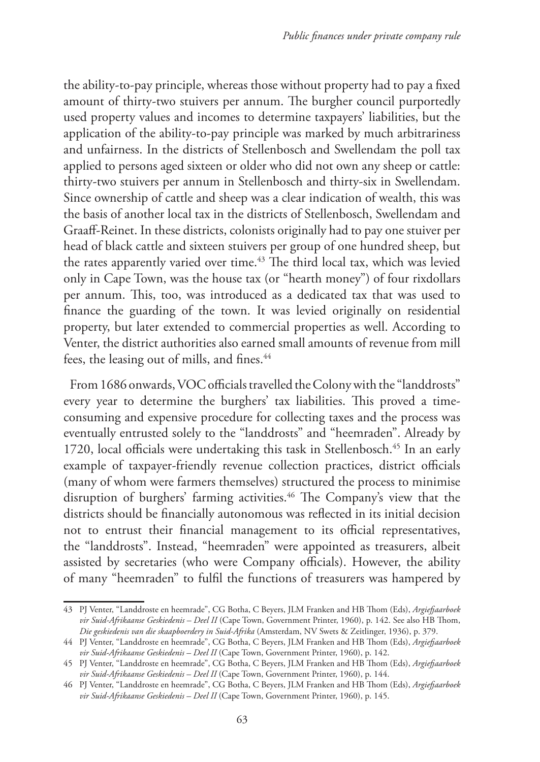the ability-to-pay principle, whereas those without property had to pay a fixed amount of thirty-two stuivers per annum. The burgher council purportedly used property values and incomes to determine taxpayers' liabilities, but the application of the ability-to-pay principle was marked by much arbitrariness and unfairness. In the districts of Stellenbosch and Swellendam the poll tax applied to persons aged sixteen or older who did not own any sheep or cattle: thirty-two stuivers per annum in Stellenbosch and thirty-six in Swellendam. Since ownership of cattle and sheep was a clear indication of wealth, this was the basis of another local tax in the districts of Stellenbosch, Swellendam and Graaff-Reinet. In these districts, colonists originally had to pay one stuiver per head of black cattle and sixteen stuivers per group of one hundred sheep, but the rates apparently varied over time.<sup>43</sup> The third local tax, which was levied only in Cape Town, was the house tax (or "hearth money") of four rixdollars per annum. This, too, was introduced as a dedicated tax that was used to finance the guarding of the town. It was levied originally on residential property, but later extended to commercial properties as well. According to Venter, the district authorities also earned small amounts of revenue from mill fees, the leasing out of mills, and fines.<sup>44</sup>

From 1686 onwards, VOC officials travelled the Colony with the "landdrosts" every year to determine the burghers' tax liabilities. This proved a timeconsuming and expensive procedure for collecting taxes and the process was eventually entrusted solely to the "landdrosts" and "heemraden". Already by 1720, local officials were undertaking this task in Stellenbosch.<sup>45</sup> In an early example of taxpayer-friendly revenue collection practices, district officials (many of whom were farmers themselves) structured the process to minimise disruption of burghers' farming activities.<sup>46</sup> The Company's view that the districts should be financially autonomous was reflected in its initial decision not to entrust their financial management to its official representatives, the "landdrosts". Instead, "heemraden" were appointed as treasurers, albeit assisted by secretaries (who were Company officials). However, the ability of many "heemraden" to fulfil the functions of treasurers was hampered by

<sup>43</sup> PJ Venter, "Landdroste en heemrade", CG Botha, C Beyers, JLM Franken and HB Thom (Eds), *Argiefjaarboek vir Suid-Afrikaanse Geskiedenis – Deel II* (Cape Town, Government Printer, 1960), p. 142. See also HB Thom, *Die geskiedenis van die skaapboerdery in Suid-Afrika* (Amsterdam, NV Swets & Zeitlinger, 1936), p. 379.

<sup>44</sup> PJ Venter, "Landdroste en heemrade", CG Botha, C Beyers, JLM Franken and HB Thom (Eds), *Argiefjaarboek vir Suid-Afrikaanse Geskiedenis – Deel II* (Cape Town, Government Printer, 1960), p. 142.

<sup>45</sup> PJ Venter, "Landdroste en heemrade", CG Botha, C Beyers, JLM Franken and HB Thom (Eds), *Argiefjaarboek vir Suid-Afrikaanse Geskiedenis – Deel II* (Cape Town, Government Printer, 1960), p. 144.

<sup>46</sup> PJ Venter, "Landdroste en heemrade", CG Botha, C Beyers, JLM Franken and HB Thom (Eds), *Argiefjaarboek vir Suid-Afrikaanse Geskiedenis – Deel II* (Cape Town, Government Printer, 1960), p. 145.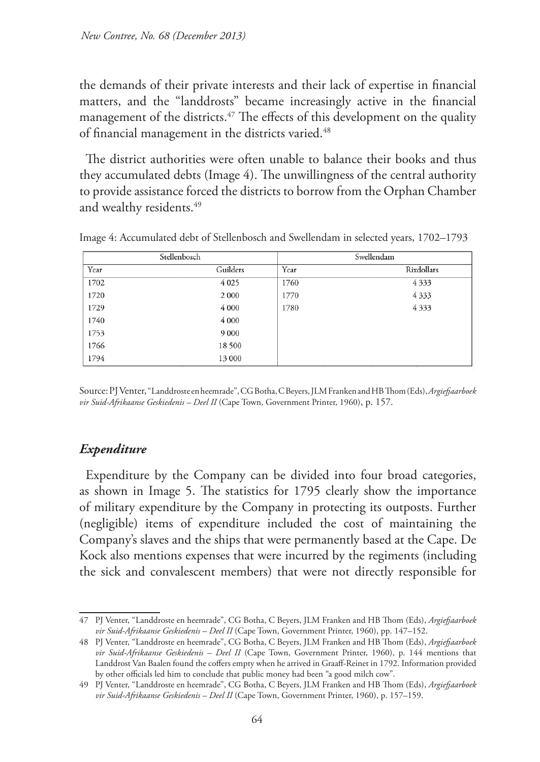the demands of their private interests and their lack of expertise in financial matters, and the "landdrosts" became increasingly active in the financial management of the districts.<sup>47</sup> The effects of this development on the quality of financial management in the districts varied.<sup>48</sup>

The district authorities were often unable to balance their books and thus they accumulated debts (Image 4). The unwillingness of the central authority to provide assistance forced the districts to borrow from the Orphan Chamber and wealthy residents.<sup>49</sup>

|      | Stellenbosch |      | Swellendam |
|------|--------------|------|------------|
| Year | Guilders     | Year | Rixdollars |
| 1702 | 4 0 2 5      | 1760 | 4333       |
| 1720 | 2 0 0 0      | 1770 | 4333       |
| 1729 | 4 0 0 0      | 1780 | 4333       |
| 1740 | 4 0 0 0      |      |            |
| 1753 | 9 0 0 0      |      |            |
| 1766 | 18 500       |      |            |
| 1794 | 13 000       |      |            |

Image 4: Accumulated debt of Stellenbosch and Swellendam in selected years, 1702–1793

Source: PJ Venter, "Landdroste en heemrade", CG Botha, C Beyers, JLM Franken and HB Thom (Eds), *Argiefjaarboek vir Suid-Afrikaanse Geskiedenis – Deel II* (Cape Town, Government Printer, 1960), p. 157.

### *Expenditure*

Expenditure by the Company can be divided into four broad categories, as shown in Image 5. The statistics for 1795 clearly show the importance of military expenditure by the Company in protecting its outposts. Further (negligible) items of expenditure included the cost of maintaining the Company's slaves and the ships that were permanently based at the Cape. De Kock also mentions expenses that were incurred by the regiments (including the sick and convalescent members) that were not directly responsible for

<sup>47</sup> PJ Venter, "Landdroste en heemrade", CG Botha, C Beyers, JLM Franken and HB Thom (Eds), *Argiefjaarboek vir Suid-Afrikaanse Geskiedenis – Deel II* (Cape Town, Government Printer, 1960), pp. 147–152.

<sup>48</sup> PJ Venter, "Landdroste en heemrade", CG Botha, C Beyers, JLM Franken and HB Thom (Eds), *Argiefjaarboek vir Suid-Afrikaanse Geskiedenis – Deel II* (Cape Town, Government Printer, 1960), p. 144 mentions that Landdrost Van Baalen found the coffers empty when he arrived in Graaff-Reinet in 1792. Information provided by other officials led him to conclude that public money had been "a good milch cow".

<sup>49</sup> PJ Venter, "Landdroste en heemrade", CG Botha, C Beyers, JLM Franken and HB Thom (Eds), *Argiefjaarboek vir Suid-Afrikaanse Geskiedenis – Deel II* (Cape Town, Government Printer, 1960), p. 157–159.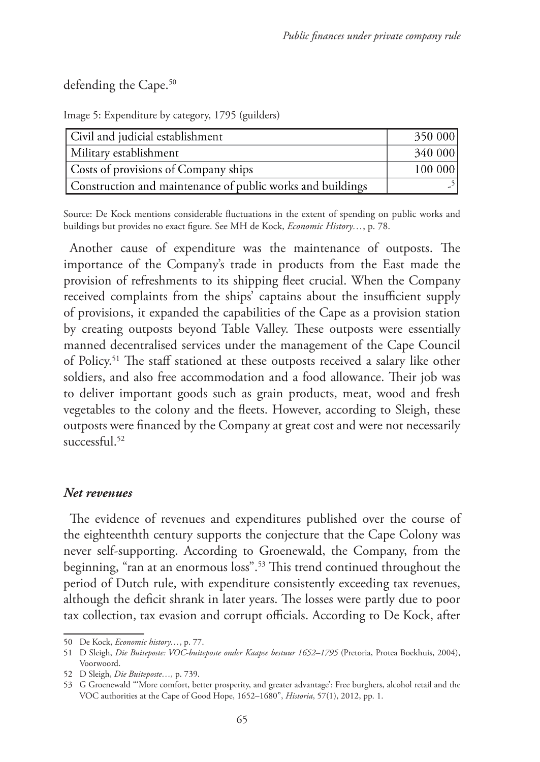defending the Cape.<sup>50</sup>

Image 5: Expenditure by category, 1795 (guilders)

| Civil and judicial establishment                           | 350 000 |
|------------------------------------------------------------|---------|
| Military establishment                                     | 340000  |
| Costs of provisions of Company ships                       | 100 000 |
| Construction and maintenance of public works and buildings |         |

Source: De Kock mentions considerable fluctuations in the extent of spending on public works and buildings but provides no exact figure. See MH de Kock, *Economic History…*, p. 78.

Another cause of expenditure was the maintenance of outposts. The importance of the Company's trade in products from the East made the provision of refreshments to its shipping fleet crucial. When the Company received complaints from the ships' captains about the insufficient supply of provisions, it expanded the capabilities of the Cape as a provision station by creating outposts beyond Table Valley. These outposts were essentially manned decentralised services under the management of the Cape Council of Policy.51 The staff stationed at these outposts received a salary like other soldiers, and also free accommodation and a food allowance. Their job was to deliver important goods such as grain products, meat, wood and fresh vegetables to the colony and the fleets. However, according to Sleigh, these outposts were financed by the Company at great cost and were not necessarily successful.<sup>52</sup>

### *Net revenues*

The evidence of revenues and expenditures published over the course of the eighteenthth century supports the conjecture that the Cape Colony was never self-supporting. According to Groenewald, the Company, from the beginning, "ran at an enormous loss".53 This trend continued throughout the period of Dutch rule, with expenditure consistently exceeding tax revenues, although the deficit shrank in later years. The losses were partly due to poor tax collection, tax evasion and corrupt officials. According to De Kock, after

<sup>50</sup> De Kock, *Economic history…*, p. 77.

<sup>51</sup> D Sleigh, *Die Buiteposte: VOC-buiteposte onder Kaapse bestuur 1652–1795* (Pretoria, Protea Boekhuis, 2004), Voorwoord.

<sup>52</sup> D Sleigh, *Die Buiteposte…,* p. 739.

<sup>53</sup> G Groenewald "'More comfort, better prosperity, and greater advantage': Free burghers, alcohol retail and the VOC authorities at the Cape of Good Hope, 1652–1680", *Historia*, 57(1), 2012, pp. 1.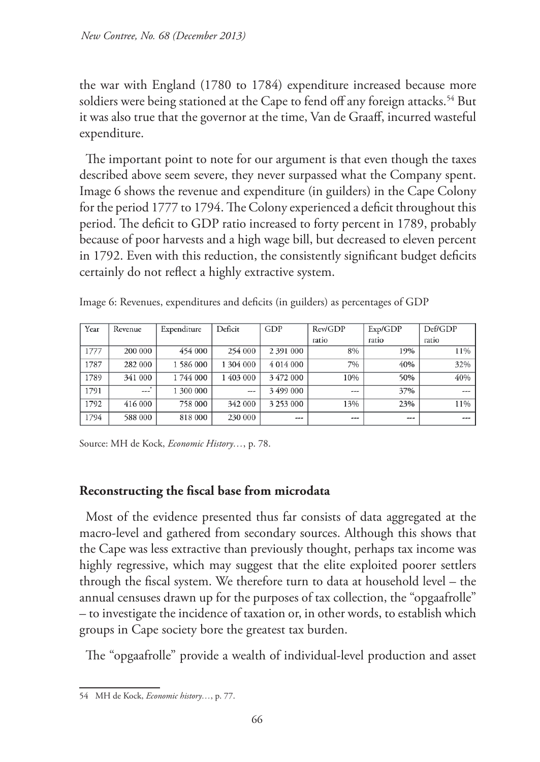the war with England (1780 to 1784) expenditure increased because more soldiers were being stationed at the Cape to fend off any foreign attacks.<sup>54</sup> But it was also true that the governor at the time, Van de Graaff, incurred wasteful expenditure.

The important point to note for our argument is that even though the taxes described above seem severe, they never surpassed what the Company spent. Image 6 shows the revenue and expenditure (in guilders) in the Cape Colony for the period 1777 to 1794. The Colony experienced a deficit throughout this period. The deficit to GDP ratio increased to forty percent in 1789, probably because of poor harvests and a high wage bill, but decreased to eleven percent in 1792. Even with this reduction, the consistently significant budget deficits certainly do not reflect a highly extractive system.

| Year | Revenue             | Expenditure | Deficit   | GDP           | Rev/GDP | Exp/GDP | Def/GDP |
|------|---------------------|-------------|-----------|---------------|---------|---------|---------|
|      |                     |             |           |               | ratio   | ratio   | ratio   |
| 1777 | 200 000             | 454 000     | 254 000   | 2 391 000     | 8%      | 19%     | 11%     |
| 1787 | 282 000             | 1586000     | 1 304 000 | 4 0 1 4 0 0 0 | 7%      | 40%     | 32%     |
| 1789 | 341 000             | 1744 000    | 1 403 000 | 3472 000      | 10%     | 50%     | 40%     |
| 1791 | $\mathbf{w}$<br>--- | 1 300 000   | ---       | 3499000       | $- - -$ | 37%     | $- - -$ |
| 1792 | 416 000             | 758 000     | 342 000   | 3 253 000     | 13%     | 23%     | 11%     |
| 1794 | 588 000             | 818 000     | 230 000   | ---           | ---     | ---     | $- - -$ |

Image 6: Revenues, expenditures and deficits (in guilders) as percentages of GDP

Source: MH de Kock, *Economic History…*, p. 78.

# **Reconstructing the fiscal base from microdata**

Most of the evidence presented thus far consists of data aggregated at the macro-level and gathered from secondary sources. Although this shows that the Cape was less extractive than previously thought, perhaps tax income was highly regressive, which may suggest that the elite exploited poorer settlers through the fiscal system. We therefore turn to data at household level – the annual censuses drawn up for the purposes of tax collection, the "opgaafrolle" – to investigate the incidence of taxation or, in other words, to establish which groups in Cape society bore the greatest tax burden.

The "opgaafrolle" provide a wealth of individual-level production and asset

<sup>54</sup> MH de Kock, *Economic history…*, p. 77.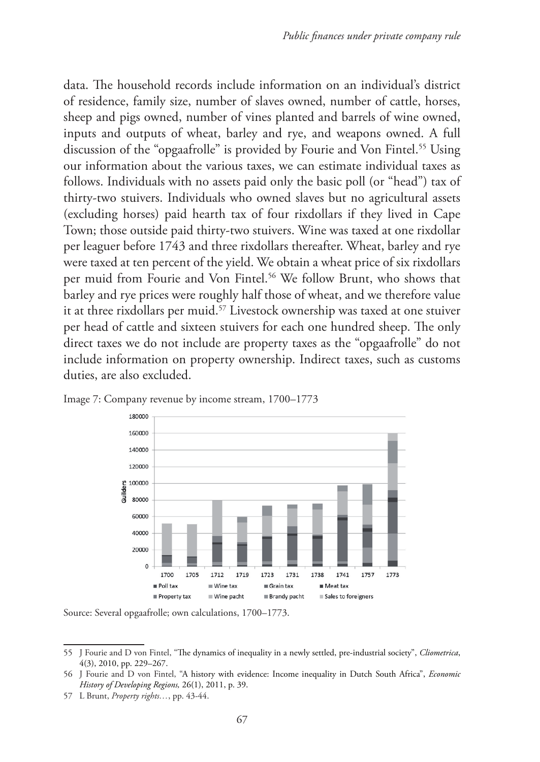data. The household records include information on an individual's district of residence, family size, number of slaves owned, number of cattle, horses, sheep and pigs owned, number of vines planted and barrels of wine owned, inputs and outputs of wheat, barley and rye, and weapons owned. A full discussion of the "opgaafrolle" is provided by Fourie and Von Fintel.<sup>55</sup> Using our information about the various taxes, we can estimate individual taxes as follows. Individuals with no assets paid only the basic poll (or "head") tax of thirty-two stuivers. Individuals who owned slaves but no agricultural assets (excluding horses) paid hearth tax of four rixdollars if they lived in Cape Town; those outside paid thirty-two stuivers. Wine was taxed at one rixdollar per leaguer before 1743 and three rixdollars thereafter. Wheat, barley and rye were taxed at ten percent of the yield. We obtain a wheat price of six rixdollars per muid from Fourie and Von Fintel.<sup>56</sup> We follow Brunt, who shows that barley and rye prices were roughly half those of wheat, and we therefore value it at three rixdollars per muid.57 Livestock ownership was taxed at one stuiver per head of cattle and sixteen stuivers for each one hundred sheep. The only direct taxes we do not include are property taxes as the "opgaafrolle" do not include information on property ownership. Indirect taxes, such as customs duties, are also excluded.



Image 7: Company revenue by income stream, 1700–1773

Source: Several opgaafrolle; own calculations, 1700–1773.

<sup>55</sup> J Fourie and D von Fintel, "The dynamics of inequality in a newly settled, pre-industrial society", *Cliometrica*, 4(3), 2010, pp. 229–267.

<sup>56</sup> J Fourie and D von Fintel, "A history with evidence: Income inequality in Dutch South Africa", *Economic History of Developing Regions,* 26(1), 2011, p. 39.

<sup>57</sup> L Brunt, *Property rights…*, pp. 43-44.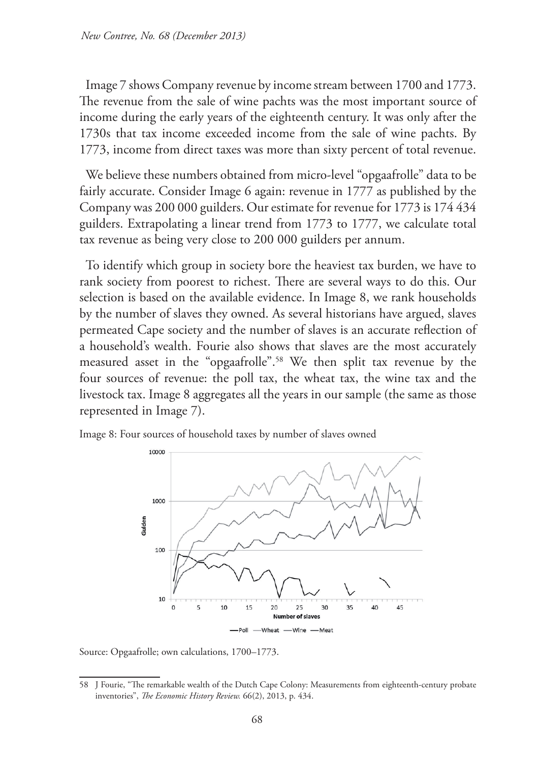Image 7 shows Company revenue by income stream between 1700 and 1773. The revenue from the sale of wine pachts was the most important source of income during the early years of the eighteenth century. It was only after the 1730s that tax income exceeded income from the sale of wine pachts. By 1773, income from direct taxes was more than sixty percent of total revenue.

We believe these numbers obtained from micro-level "opgaafrolle" data to be fairly accurate. Consider Image 6 again: revenue in 1777 as published by the Company was 200 000 guilders. Our estimate for revenue for 1773 is 174 434 guilders. Extrapolating a linear trend from 1773 to 1777, we calculate total tax revenue as being very close to 200 000 guilders per annum.

To identify which group in society bore the heaviest tax burden, we have to rank society from poorest to richest. There are several ways to do this. Our selection is based on the available evidence. In Image 8, we rank households by the number of slaves they owned. As several historians have argued, slaves permeated Cape society and the number of slaves is an accurate reflection of a household's wealth. Fourie also shows that slaves are the most accurately measured asset in the "opgaafrolle".58 We then split tax revenue by the four sources of revenue: the poll tax, the wheat tax, the wine tax and the livestock tax. Image 8 aggregates all the years in our sample (the same as those represented in Image 7).



Image 8: Four sources of household taxes by number of slaves owned

Source: Opgaafrolle; own calculations, 1700–1773.

<sup>58</sup> J Fourie, "The remarkable wealth of the Dutch Cape Colony: Measurements from eighteenth-century probate inventories", *The Economic History Review.* 66(2), 2013, p. 434.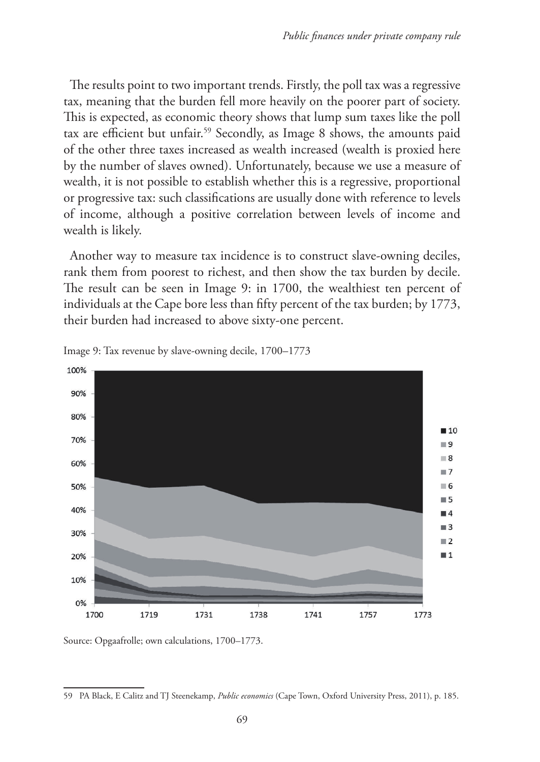The results point to two important trends. Firstly, the poll tax was a regressive tax, meaning that the burden fell more heavily on the poorer part of society. This is expected, as economic theory shows that lump sum taxes like the poll tax are efficient but unfair.59 Secondly, as Image 8 shows, the amounts paid of the other three taxes increased as wealth increased (wealth is proxied here by the number of slaves owned). Unfortunately, because we use a measure of wealth, it is not possible to establish whether this is a regressive, proportional or progressive tax: such classifications are usually done with reference to levels of income, although a positive correlation between levels of income and wealth is likely.

Another way to measure tax incidence is to construct slave-owning deciles, rank them from poorest to richest, and then show the tax burden by decile. The result can be seen in Image 9: in 1700, the wealthiest ten percent of individuals at the Cape bore less than fifty percent of the tax burden; by 1773, their burden had increased to above sixty-one percent.





Source: Opgaafrolle; own calculations, 1700–1773.

<sup>59</sup> PA Black, E Calitz and TJ Steenekamp, *Public economics* (Cape Town, Oxford University Press, 2011), p. 185.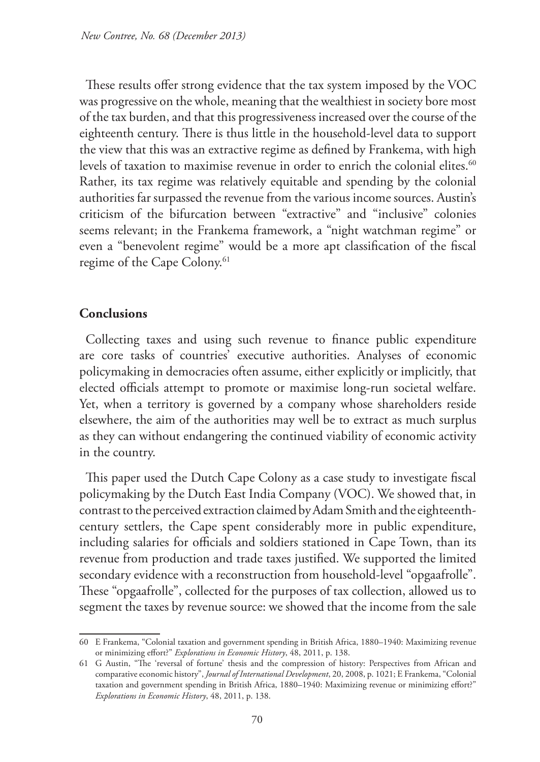These results offer strong evidence that the tax system imposed by the VOC was progressive on the whole, meaning that the wealthiest in society bore most of the tax burden, and that this progressiveness increased over the course of the eighteenth century. There is thus little in the household-level data to support the view that this was an extractive regime as defined by Frankema, with high levels of taxation to maximise revenue in order to enrich the colonial elites.<sup>60</sup> Rather, its tax regime was relatively equitable and spending by the colonial authorities far surpassed the revenue from the various income sources. Austin's criticism of the bifurcation between "extractive" and "inclusive" colonies seems relevant; in the Frankema framework, a "night watchman regime" or even a "benevolent regime" would be a more apt classification of the fiscal regime of the Cape Colony.<sup>61</sup>

#### **Conclusions**

Collecting taxes and using such revenue to finance public expenditure are core tasks of countries' executive authorities. Analyses of economic policymaking in democracies often assume, either explicitly or implicitly, that elected officials attempt to promote or maximise long-run societal welfare. Yet, when a territory is governed by a company whose shareholders reside elsewhere, the aim of the authorities may well be to extract as much surplus as they can without endangering the continued viability of economic activity in the country.

This paper used the Dutch Cape Colony as a case study to investigate fiscal policymaking by the Dutch East India Company (VOC). We showed that, in contrast to the perceived extraction claimed by Adam Smith and the eighteenthcentury settlers, the Cape spent considerably more in public expenditure, including salaries for officials and soldiers stationed in Cape Town, than its revenue from production and trade taxes justified. We supported the limited secondary evidence with a reconstruction from household-level "opgaafrolle". These "opgaafrolle", collected for the purposes of tax collection, allowed us to segment the taxes by revenue source: we showed that the income from the sale

<sup>60</sup> E Frankema, "Colonial taxation and government spending in British Africa, 1880–1940: Maximizing revenue or minimizing effort?" *Explorations in Economic History*, 48, 2011, p. 138.

<sup>61</sup> G Austin, "The 'reversal of fortune' thesis and the compression of history: Perspectives from African and comparative economic history", *Journal of International Development*, 20, 2008, p. 1021; E Frankema, "Colonial taxation and government spending in British Africa, 1880–1940: Maximizing revenue or minimizing effort?" *Explorations in Economic History*, 48, 2011, p. 138.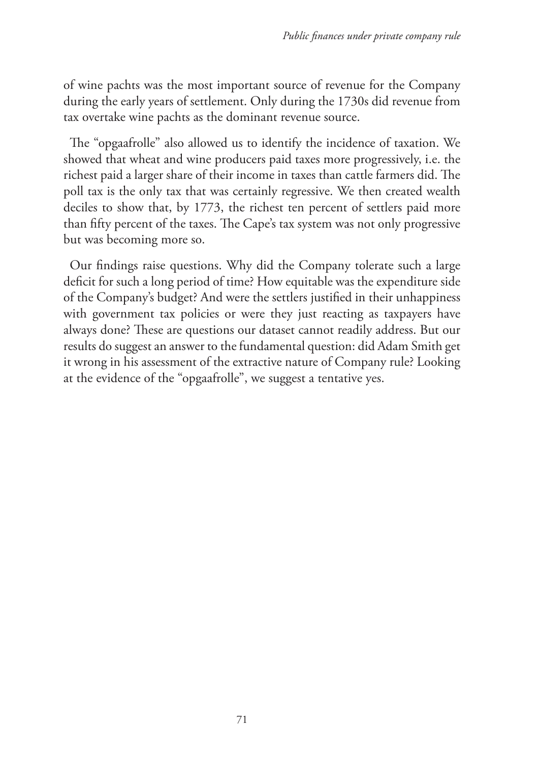of wine pachts was the most important source of revenue for the Company during the early years of settlement. Only during the 1730s did revenue from tax overtake wine pachts as the dominant revenue source.

The "opgaafrolle" also allowed us to identify the incidence of taxation. We showed that wheat and wine producers paid taxes more progressively, i.e. the richest paid a larger share of their income in taxes than cattle farmers did. The poll tax is the only tax that was certainly regressive. We then created wealth deciles to show that, by 1773, the richest ten percent of settlers paid more than fifty percent of the taxes. The Cape's tax system was not only progressive but was becoming more so.

Our findings raise questions. Why did the Company tolerate such a large deficit for such a long period of time? How equitable was the expenditure side of the Company's budget? And were the settlers justified in their unhappiness with government tax policies or were they just reacting as taxpayers have always done? These are questions our dataset cannot readily address. But our results do suggest an answer to the fundamental question: did Adam Smith get it wrong in his assessment of the extractive nature of Company rule? Looking at the evidence of the "opgaafrolle", we suggest a tentative yes.